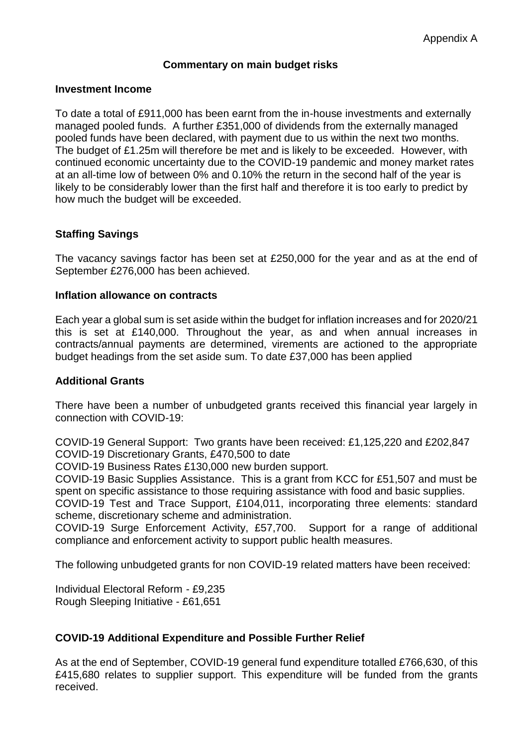#### **Commentary on main budget risks**

#### **Investment Income**

To date a total of £911,000 has been earnt from the in-house investments and externally managed pooled funds. A further £351,000 of dividends from the externally managed pooled funds have been declared, with payment due to us within the next two months. The budget of £1.25m will therefore be met and is likely to be exceeded. However, with continued economic uncertainty due to the COVID-19 pandemic and money market rates at an all-time low of between 0% and 0.10% the return in the second half of the year is likely to be considerably lower than the first half and therefore it is too early to predict by how much the budget will be exceeded.

#### **Staffing Savings**

The vacancy savings factor has been set at £250,000 for the year and as at the end of September £276,000 has been achieved.

#### **Inflation allowance on contracts**

Each year a global sum is set aside within the budget for inflation increases and for 2020/21 this is set at £140,000. Throughout the year, as and when annual increases in contracts/annual payments are determined, virements are actioned to the appropriate budget headings from the set aside sum. To date £37,000 has been applied

#### **Additional Grants**

There have been a number of unbudgeted grants received this financial year largely in connection with COVID-19:

COVID-19 General Support: Two grants have been received: £1,125,220 and £202,847 COVID-19 Discretionary Grants, £470,500 to date

COVID-19 Business Rates £130,000 new burden support.

COVID-19 Basic Supplies Assistance. This is a grant from KCC for £51,507 and must be spent on specific assistance to those requiring assistance with food and basic supplies.

COVID-19 Test and Trace Support, £104,011, incorporating three elements: standard scheme, discretionary scheme and administration.

COVID-19 Surge Enforcement Activity, £57,700. Support for a range of additional compliance and enforcement activity to support public health measures.

The following unbudgeted grants for non COVID-19 related matters have been received:

Individual Electoral Reform - £9,235 Rough Sleeping Initiative - £61,651

#### **COVID-19 Additional Expenditure and Possible Further Relief**

As at the end of September, COVID-19 general fund expenditure totalled £766,630, of this £415,680 relates to supplier support. This expenditure will be funded from the grants received.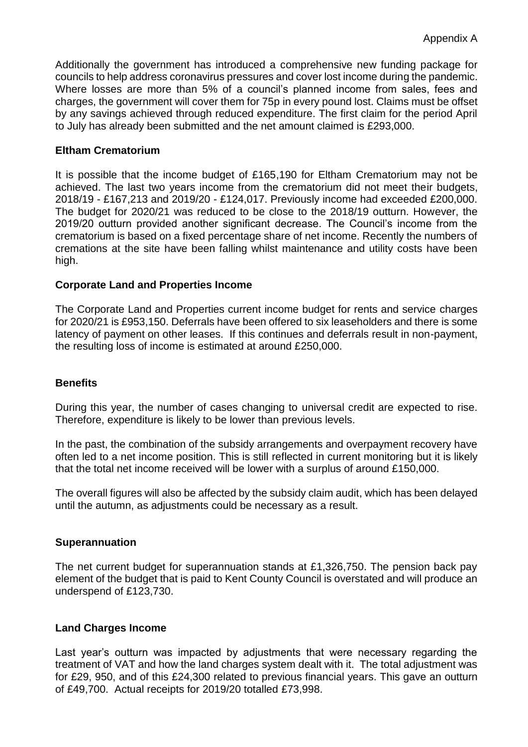Additionally the government has introduced a comprehensive new funding package for councils to help address coronavirus pressures and cover lost income during the pandemic. Where losses are more than 5% of a council's planned income from sales, fees and charges, the government will cover them for 75p in every pound lost. Claims must be offset by any savings achieved through reduced expenditure. The first claim for the period April to July has already been submitted and the net amount claimed is £293,000.

## **Eltham Crematorium**

It is possible that the income budget of £165,190 for Eltham Crematorium may not be achieved. The last two years income from the crematorium did not meet their budgets, 2018/19 - £167,213 and 2019/20 - £124,017. Previously income had exceeded £200,000. The budget for 2020/21 was reduced to be close to the 2018/19 outturn. However, the 2019/20 outturn provided another significant decrease. The Council's income from the crematorium is based on a fixed percentage share of net income. Recently the numbers of cremations at the site have been falling whilst maintenance and utility costs have been high.

#### **Corporate Land and Properties Income**

The Corporate Land and Properties current income budget for rents and service charges for 2020/21 is £953,150. Deferrals have been offered to six leaseholders and there is some latency of payment on other leases. If this continues and deferrals result in non-payment, the resulting loss of income is estimated at around £250,000.

#### **Benefits**

During this year, the number of cases changing to universal credit are expected to rise. Therefore, expenditure is likely to be lower than previous levels.

In the past, the combination of the subsidy arrangements and overpayment recovery have often led to a net income position. This is still reflected in current monitoring but it is likely that the total net income received will be lower with a surplus of around £150,000.

The overall figures will also be affected by the subsidy claim audit, which has been delayed until the autumn, as adjustments could be necessary as a result.

#### **Superannuation**

The net current budget for superannuation stands at £1,326,750. The pension back pay element of the budget that is paid to Kent County Council is overstated and will produce an underspend of £123,730.

#### **Land Charges Income**

Last year's outturn was impacted by adjustments that were necessary regarding the treatment of VAT and how the land charges system dealt with it. The total adjustment was for £29, 950, and of this £24,300 related to previous financial years. This gave an outturn of £49,700. Actual receipts for 2019/20 totalled £73,998.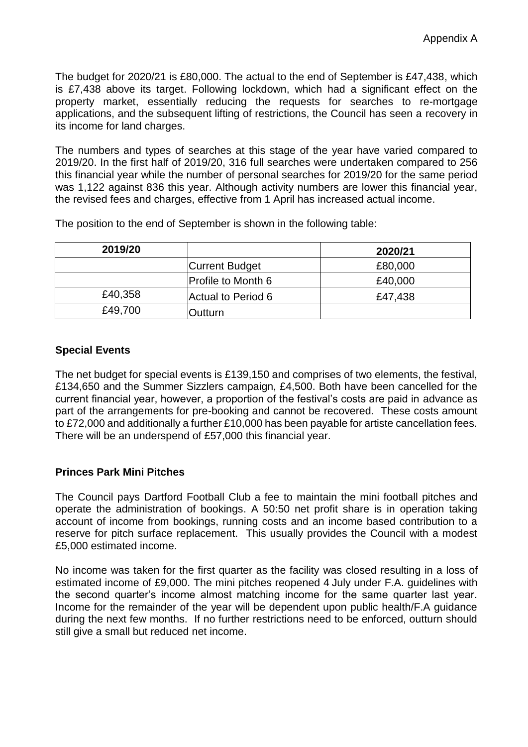The budget for 2020/21 is £80,000. The actual to the end of September is £47,438, which is £7,438 above its target. Following lockdown, which had a significant effect on the property market, essentially reducing the requests for searches to re-mortgage applications, and the subsequent lifting of restrictions, the Council has seen a recovery in its income for land charges.

The numbers and types of searches at this stage of the year have varied compared to 2019/20. In the first half of 2019/20, 316 full searches were undertaken compared to 256 this financial year while the number of personal searches for 2019/20 for the same period was 1,122 against 836 this year. Although activity numbers are lower this financial year, the revised fees and charges, effective from 1 April has increased actual income.

The position to the end of September is shown in the following table:

| 2019/20 |                           | 2020/21 |
|---------|---------------------------|---------|
|         | <b>Current Budget</b>     | £80,000 |
|         | <b>Profile to Month 6</b> | £40,000 |
| £40,358 | Actual to Period 6        | £47,438 |
| £49,700 | Dutturn                   |         |

## **Special Events**

The net budget for special events is £139,150 and comprises of two elements, the festival, £134,650 and the Summer Sizzlers campaign, £4,500. Both have been cancelled for the current financial year, however, a proportion of the festival's costs are paid in advance as part of the arrangements for pre-booking and cannot be recovered. These costs amount to £72,000 and additionally a further £10,000 has been payable for artiste cancellation fees. There will be an underspend of £57,000 this financial year.

#### **Princes Park Mini Pitches**

The Council pays Dartford Football Club a fee to maintain the mini football pitches and operate the administration of bookings. A 50:50 net profit share is in operation taking account of income from bookings, running costs and an income based contribution to a reserve for pitch surface replacement. This usually provides the Council with a modest £5,000 estimated income.

No income was taken for the first quarter as the facility was closed resulting in a loss of estimated income of £9,000. The mini pitches reopened 4 July under F.A. guidelines with the second quarter's income almost matching income for the same quarter last year. Income for the remainder of the year will be dependent upon public health/F.A guidance during the next few months. If no further restrictions need to be enforced, outturn should still give a small but reduced net income.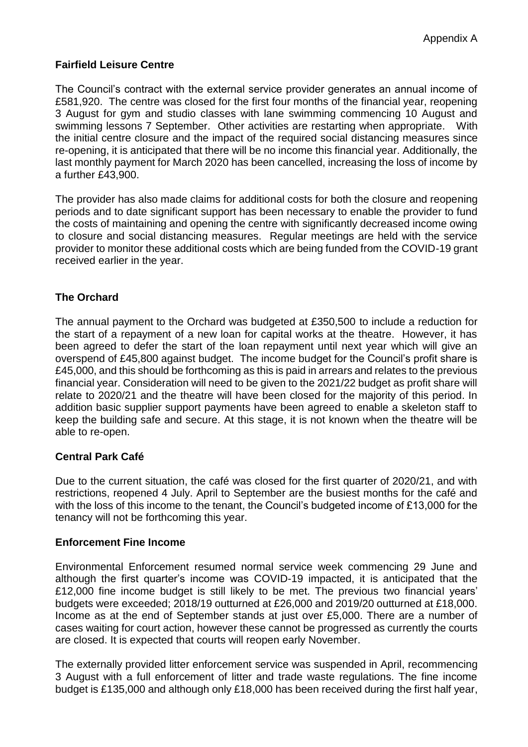# **Fairfield Leisure Centre**

The Council's contract with the external service provider generates an annual income of £581,920. The centre was closed for the first four months of the financial year, reopening 3 August for gym and studio classes with lane swimming commencing 10 August and swimming lessons 7 September. Other activities are restarting when appropriate. With the initial centre closure and the impact of the required social distancing measures since re-opening, it is anticipated that there will be no income this financial year. Additionally, the last monthly payment for March 2020 has been cancelled, increasing the loss of income by a further £43,900.

The provider has also made claims for additional costs for both the closure and reopening periods and to date significant support has been necessary to enable the provider to fund the costs of maintaining and opening the centre with significantly decreased income owing to closure and social distancing measures. Regular meetings are held with the service provider to monitor these additional costs which are being funded from the COVID-19 grant received earlier in the year.

# **The Orchard**

The annual payment to the Orchard was budgeted at £350,500 to include a reduction for the start of a repayment of a new loan for capital works at the theatre. However, it has been agreed to defer the start of the loan repayment until next year which will give an overspend of £45,800 against budget. The income budget for the Council's profit share is £45,000, and this should be forthcoming as this is paid in arrears and relates to the previous financial year. Consideration will need to be given to the 2021/22 budget as profit share will relate to 2020/21 and the theatre will have been closed for the majority of this period. In addition basic supplier support payments have been agreed to enable a skeleton staff to keep the building safe and secure. At this stage, it is not known when the theatre will be able to re-open.

#### **Central Park Café**

Due to the current situation, the café was closed for the first quarter of 2020/21, and with restrictions, reopened 4 July. April to September are the busiest months for the café and with the loss of this income to the tenant, the Council's budgeted income of £13,000 for the tenancy will not be forthcoming this year.

#### **Enforcement Fine Income**

Environmental Enforcement resumed normal service week commencing 29 June and although the first quarter's income was COVID-19 impacted, it is anticipated that the £12,000 fine income budget is still likely to be met. The previous two financial years' budgets were exceeded; 2018/19 outturned at £26,000 and 2019/20 outturned at £18,000. Income as at the end of September stands at just over £5,000. There are a number of cases waiting for court action, however these cannot be progressed as currently the courts are closed. It is expected that courts will reopen early November.

The externally provided litter enforcement service was suspended in April, recommencing 3 August with a full enforcement of litter and trade waste regulations. The fine income budget is £135,000 and although only £18,000 has been received during the first half year,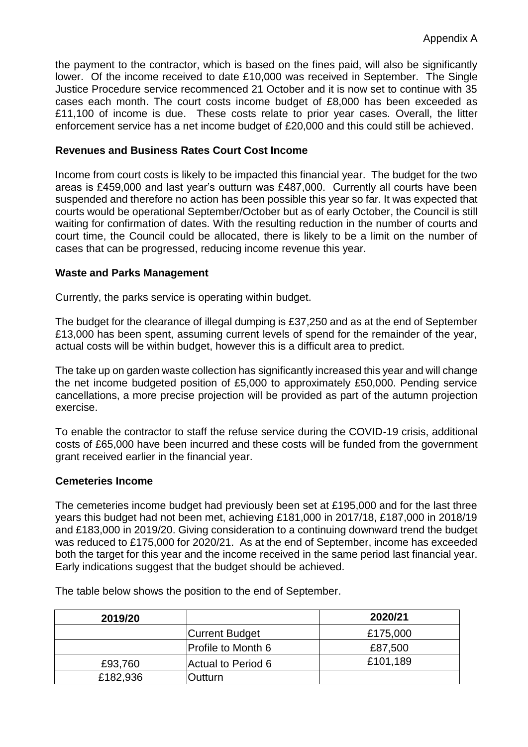the payment to the contractor, which is based on the fines paid, will also be significantly lower. Of the income received to date £10,000 was received in September. The Single Justice Procedure service recommenced 21 October and it is now set to continue with 35 cases each month. The court costs income budget of £8,000 has been exceeded as £11,100 of income is due. These costs relate to prior year cases. Overall, the litter enforcement service has a net income budget of £20,000 and this could still be achieved.

## **Revenues and Business Rates Court Cost Income**

Income from court costs is likely to be impacted this financial year. The budget for the two areas is £459,000 and last year's outturn was £487,000. Currently all courts have been suspended and therefore no action has been possible this year so far. It was expected that courts would be operational September/October but as of early October, the Council is still waiting for confirmation of dates. With the resulting reduction in the number of courts and court time, the Council could be allocated, there is likely to be a limit on the number of cases that can be progressed, reducing income revenue this year.

#### **Waste and Parks Management**

Currently, the parks service is operating within budget.

The budget for the clearance of illegal dumping is £37,250 and as at the end of September £13,000 has been spent, assuming current levels of spend for the remainder of the year, actual costs will be within budget, however this is a difficult area to predict.

The take up on garden waste collection has significantly increased this year and will change the net income budgeted position of £5,000 to approximately £50,000. Pending service cancellations, a more precise projection will be provided as part of the autumn projection exercise.

To enable the contractor to staff the refuse service during the COVID-19 crisis, additional costs of £65,000 have been incurred and these costs will be funded from the government grant received earlier in the financial year.

#### **Cemeteries Income**

The cemeteries income budget had previously been set at £195,000 and for the last three years this budget had not been met, achieving £181,000 in 2017/18, £187,000 in 2018/19 and £183,000 in 2019/20. Giving consideration to a continuing downward trend the budget was reduced to £175,000 for 2020/21. As at the end of September, income has exceeded both the target for this year and the income received in the same period last financial year. Early indications suggest that the budget should be achieved.

| 2019/20  |                           | 2020/21  |
|----------|---------------------------|----------|
|          | <b>Current Budget</b>     | £175,000 |
|          | <b>Profile to Month 6</b> | £87,500  |
| £93,760  | Actual to Period 6        | £101,189 |
| £182,936 | <b>Dutturn</b>            |          |

The table below shows the position to the end of September.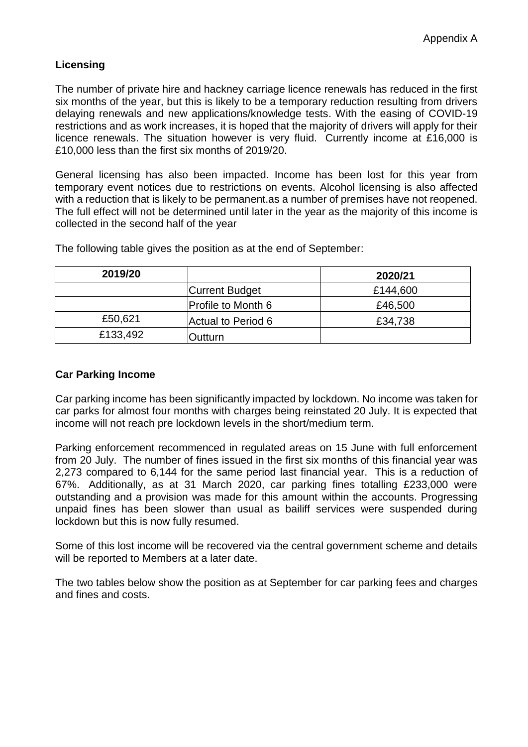# **Licensing**

The number of private hire and hackney carriage licence renewals has reduced in the first six months of the year, but this is likely to be a temporary reduction resulting from drivers delaying renewals and new applications/knowledge tests. With the easing of COVID-19 restrictions and as work increases, it is hoped that the majority of drivers will apply for their licence renewals. The situation however is very fluid. Currently income at £16,000 is £10,000 less than the first six months of 2019/20.

General licensing has also been impacted. Income has been lost for this year from temporary event notices due to restrictions on events. Alcohol licensing is also affected with a reduction that is likely to be permanent.as a number of premises have not reopened. The full effect will not be determined until later in the year as the majority of this income is collected in the second half of the year

| 2019/20  |                       | 2020/21  |
|----------|-----------------------|----------|
|          | <b>Current Budget</b> | £144,600 |
|          | Profile to Month 6    | £46,500  |
| £50,621  | Actual to Period 6    | £34,738  |
| £133,492 | <b>Outturn</b>        |          |

The following table gives the position as at the end of September:

## **Car Parking Income**

Car parking income has been significantly impacted by lockdown. No income was taken for car parks for almost four months with charges being reinstated 20 July. It is expected that income will not reach pre lockdown levels in the short/medium term.

Parking enforcement recommenced in regulated areas on 15 June with full enforcement from 20 July. The number of fines issued in the first six months of this financial year was 2,273 compared to 6,144 for the same period last financial year. This is a reduction of 67%. Additionally, as at 31 March 2020, car parking fines totalling £233,000 were outstanding and a provision was made for this amount within the accounts. Progressing unpaid fines has been slower than usual as bailiff services were suspended during lockdown but this is now fully resumed.

Some of this lost income will be recovered via the central government scheme and details will be reported to Members at a later date.

The two tables below show the position as at September for car parking fees and charges and fines and costs.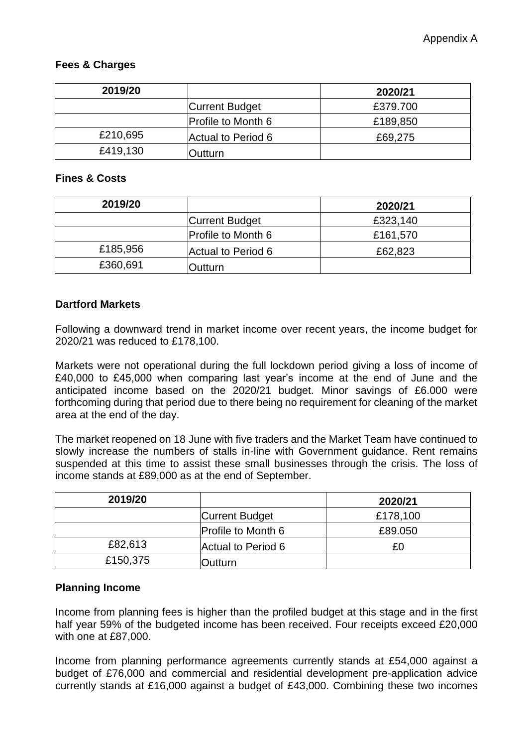#### **Fees & Charges**

| 2019/20  |                           | 2020/21  |
|----------|---------------------------|----------|
|          | <b>Current Budget</b>     | £379.700 |
|          | <b>Profile to Month 6</b> | £189,850 |
| £210,695 | Actual to Period 6        | £69,275  |
| £419,130 | <b>Dutturn</b>            |          |

#### **Fines & Costs**

| 2019/20  |                           | 2020/21  |
|----------|---------------------------|----------|
|          | <b>Current Budget</b>     | £323,140 |
|          | <b>Profile to Month 6</b> | £161,570 |
| £185,956 | Actual to Period 6        | £62,823  |
| £360,691 | Dutturn                   |          |

## **Dartford Markets**

Following a downward trend in market income over recent years, the income budget for 2020/21 was reduced to £178,100.

Markets were not operational during the full lockdown period giving a loss of income of £40,000 to £45,000 when comparing last year's income at the end of June and the anticipated income based on the 2020/21 budget. Minor savings of £6.000 were forthcoming during that period due to there being no requirement for cleaning of the market area at the end of the day.

The market reopened on 18 June with five traders and the Market Team have continued to slowly increase the numbers of stalls in-line with Government guidance. Rent remains suspended at this time to assist these small businesses through the crisis. The loss of income stands at £89,000 as at the end of September.

| 2019/20  |                           | 2020/21  |
|----------|---------------------------|----------|
|          | <b>Current Budget</b>     | £178,100 |
|          | <b>Profile to Month 6</b> | £89.050  |
| £82,613  | Actual to Period 6        | £0       |
| £150,375 | Outturn                   |          |

# **Planning Income**

Income from planning fees is higher than the profiled budget at this stage and in the first half year 59% of the budgeted income has been received. Four receipts exceed £20,000 with one at £87,000.

Income from planning performance agreements currently stands at £54,000 against a budget of £76,000 and commercial and residential development pre-application advice currently stands at £16,000 against a budget of £43,000. Combining these two incomes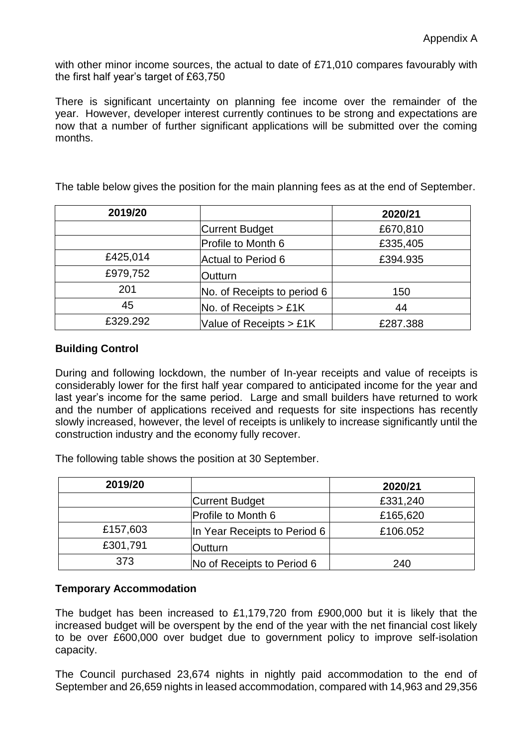with other minor income sources, the actual to date of £71,010 compares favourably with the first half year's target of £63,750

There is significant uncertainty on planning fee income over the remainder of the year. However, developer interest currently continues to be strong and expectations are now that a number of further significant applications will be submitted over the coming months.

| 2019/20  |                                                        | 2020/21  |
|----------|--------------------------------------------------------|----------|
|          | <b>Current Budget</b>                                  | £670,810 |
|          | Profile to Month 6                                     | £335,405 |
| £425,014 | Actual to Period 6                                     | £394.935 |
| £979,752 | Outturn                                                |          |
| 201      | No. of Receipts to period 6                            | 150      |
| 45       | $No.$ of Receipts > £1K                                | 44       |
| £329.292 | Value of Receipts $> \text{\pounds}1\text{\textsf{K}}$ | £287.388 |

The table below gives the position for the main planning fees as at the end of September.

# **Building Control**

During and following lockdown, the number of In-year receipts and value of receipts is considerably lower for the first half year compared to anticipated income for the year and last year's income for the same period. Large and small builders have returned to work and the number of applications received and requests for site inspections has recently slowly increased, however, the level of receipts is unlikely to increase significantly until the construction industry and the economy fully recover.

The following table shows the position at 30 September.

| 2019/20  |                              | 2020/21  |
|----------|------------------------------|----------|
|          | <b>Current Budget</b>        | £331,240 |
|          | <b>Profile to Month 6</b>    | £165,620 |
| £157,603 | In Year Receipts to Period 6 | £106.052 |
| £301,791 | <b>Outturn</b>               |          |
| 373      | No of Receipts to Period 6   | 240      |

#### **Temporary Accommodation**

The budget has been increased to £1,179,720 from £900,000 but it is likely that the increased budget will be overspent by the end of the year with the net financial cost likely to be over £600,000 over budget due to government policy to improve self-isolation capacity.

The Council purchased 23,674 nights in nightly paid accommodation to the end of September and 26,659 nights in leased accommodation, compared with 14,963 and 29,356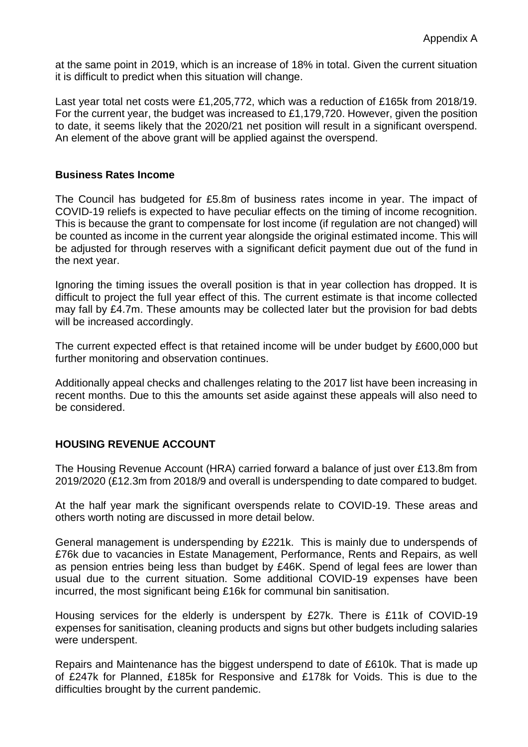at the same point in 2019, which is an increase of 18% in total. Given the current situation it is difficult to predict when this situation will change.

Last year total net costs were £1,205,772, which was a reduction of £165k from 2018/19. For the current year, the budget was increased to £1,179,720. However, given the position to date, it seems likely that the 2020/21 net position will result in a significant overspend. An element of the above grant will be applied against the overspend.

#### **Business Rates Income**

The Council has budgeted for £5.8m of business rates income in year. The impact of COVID-19 reliefs is expected to have peculiar effects on the timing of income recognition. This is because the grant to compensate for lost income (if regulation are not changed) will be counted as income in the current year alongside the original estimated income. This will be adjusted for through reserves with a significant deficit payment due out of the fund in the next year.

Ignoring the timing issues the overall position is that in year collection has dropped. It is difficult to project the full year effect of this. The current estimate is that income collected may fall by £4.7m. These amounts may be collected later but the provision for bad debts will be increased accordingly.

The current expected effect is that retained income will be under budget by £600,000 but further monitoring and observation continues.

Additionally appeal checks and challenges relating to the 2017 list have been increasing in recent months. Due to this the amounts set aside against these appeals will also need to be considered.

#### **HOUSING REVENUE ACCOUNT**

The Housing Revenue Account (HRA) carried forward a balance of just over £13.8m from 2019/2020 (£12.3m from 2018/9 and overall is underspending to date compared to budget.

At the half year mark the significant overspends relate to COVID-19. These areas and others worth noting are discussed in more detail below.

General management is underspending by £221k. This is mainly due to underspends of £76k due to vacancies in Estate Management, Performance, Rents and Repairs, as well as pension entries being less than budget by £46K. Spend of legal fees are lower than usual due to the current situation. Some additional COVID-19 expenses have been incurred, the most significant being £16k for communal bin sanitisation.

Housing services for the elderly is underspent by £27k. There is £11k of COVID-19 expenses for sanitisation, cleaning products and signs but other budgets including salaries were underspent.

Repairs and Maintenance has the biggest underspend to date of £610k. That is made up of £247k for Planned, £185k for Responsive and £178k for Voids. This is due to the difficulties brought by the current pandemic.